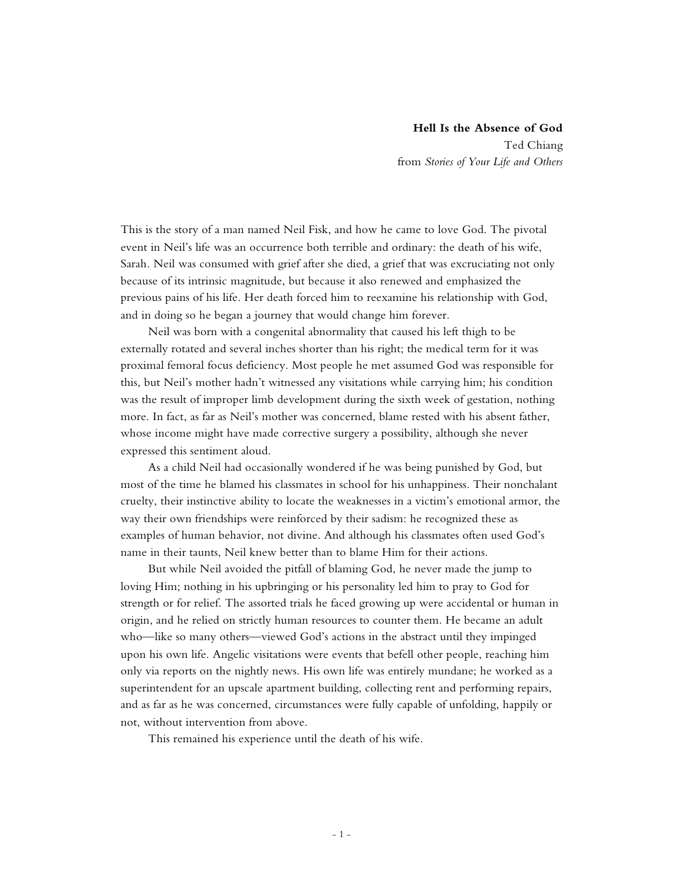## **Hell Is the Absence of God**

Ted Chiang from *Stories of Your Life and Others*

This is the story of a man named Neil Fisk, and how he came to love God. The pivotal event in Neil's life was an occurrence both terrible and ordinary: the death of his wife, Sarah. Neil was consumed with grief after she died, a grief that was excruciating not only because of its intrinsic magnitude, but because it also renewed and emphasized the previous pains of his life. Her death forced him to reexamine his relationship with God, and in doing so he began a journey that would change him forever.

Neil was born with a congenital abnormality that caused his left thigh to be externally rotated and several inches shorter than his right; the medical term for it was proximal femoral focus deficiency. Most people he met assumed God was responsible for this, but Neil's mother hadn't witnessed any visitations while carrying him; his condition was the result of improper limb development during the sixth week of gestation, nothing more. In fact, as far as Neil's mother was concerned, blame rested with his absent father, whose income might have made corrective surgery a possibility, although she never expressed this sentiment aloud.

As a child Neil had occasionally wondered if he was being punished by God, but most of the time he blamed his classmates in school for his unhappiness. Their nonchalant cruelty, their instinctive ability to locate the weaknesses in a victim's emotional armor, the way their own friendships were reinforced by their sadism: he recognized these as examples of human behavior, not divine. And although his classmates often used God's name in their taunts, Neil knew better than to blame Him for their actions.

But while Neil avoided the pitfall of blaming God, he never made the jump to loving Him; nothing in his upbringing or his personality led him to pray to God for strength or for relief. The assorted trials he faced growing up were accidental or human in origin, and he relied on strictly human resources to counter them. He became an adult who—like so many others—viewed God's actions in the abstract until they impinged upon his own life. Angelic visitations were events that befell other people, reaching him only via reports on the nightly news. His own life was entirely mundane; he worked as a superintendent for an upscale apartment building, collecting rent and performing repairs, and as far as he was concerned, circumstances were fully capable of unfolding, happily or not, without intervention from above.

This remained his experience until the death of his wife.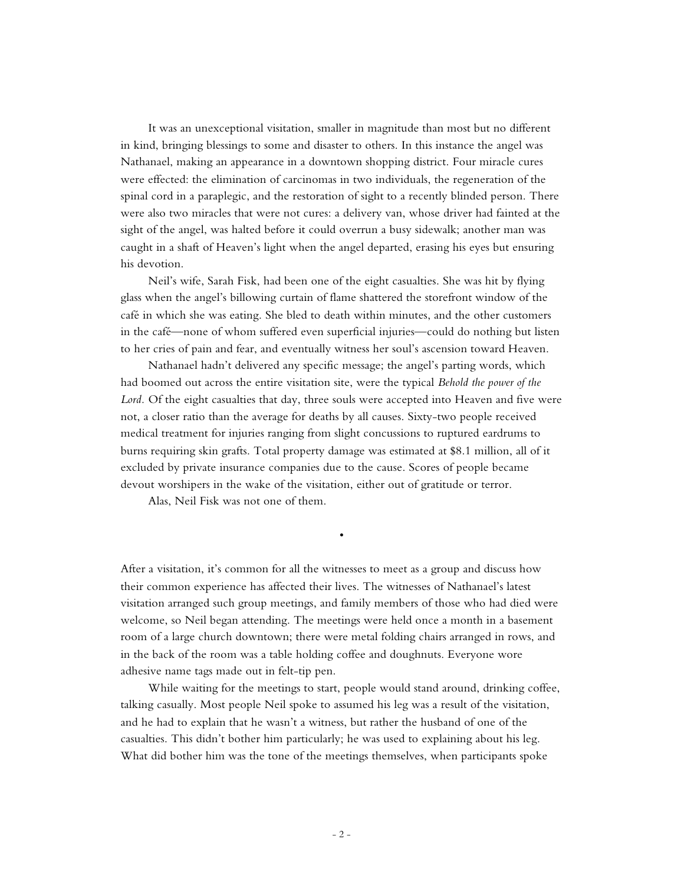It was an unexceptional visitation, smaller in magnitude than most but no different in kind, bringing blessings to some and disaster to others. In this instance the angel was Nathanael, making an appearance in a downtown shopping district. Four miracle cures were effected: the elimination of carcinomas in two individuals, the regeneration of the spinal cord in a paraplegic, and the restoration of sight to a recently blinded person. There were also two miracles that were not cures: a delivery van, whose driver had fainted at the sight of the angel, was halted before it could overrun a busy sidewalk; another man was caught in a shaft of Heaven's light when the angel departed, erasing his eyes but ensuring his devotion.

Neil's wife, Sarah Fisk, had been one of the eight casualties. She was hit by flying glass when the angel's billowing curtain of flame shattered the storefront window of the café in which she was eating. She bled to death within minutes, and the other customers in the café—none of whom suffered even superficial injuries—could do nothing but listen to her cries of pain and fear, and eventually witness her soul's ascension toward Heaven.

Nathanael hadn't delivered any specific message; the angel's parting words, which had boomed out across the entire visitation site, were the typical *Behold the power of the Lord.* Of the eight casualties that day, three souls were accepted into Heaven and five were not, a closer ratio than the average for deaths by all causes. Sixty-two people received medical treatment for injuries ranging from slight concussions to ruptured eardrums to burns requiring skin grafts. Total property damage was estimated at \$8.1 million, all of it excluded by private insurance companies due to the cause. Scores of people became devout worshipers in the wake of the visitation, either out of gratitude or terror.

Alas, Neil Fisk was not one of them.

After a visitation, it's common for all the witnesses to meet as a group and discuss how their common experience has affected their lives. The witnesses of Nathanael's latest visitation arranged such group meetings, and family members of those who had died were welcome, so Neil began attending. The meetings were held once a month in a basement room of a large church downtown; there were metal folding chairs arranged in rows, and in the back of the room was a table holding coffee and doughnuts. Everyone wore adhesive name tags made out in felt-tip pen.

•

While waiting for the meetings to start, people would stand around, drinking coffee, talking casually. Most people Neil spoke to assumed his leg was a result of the visitation, and he had to explain that he wasn't a witness, but rather the husband of one of the casualties. This didn't bother him particularly; he was used to explaining about his leg. What did bother him was the tone of the meetings themselves, when participants spoke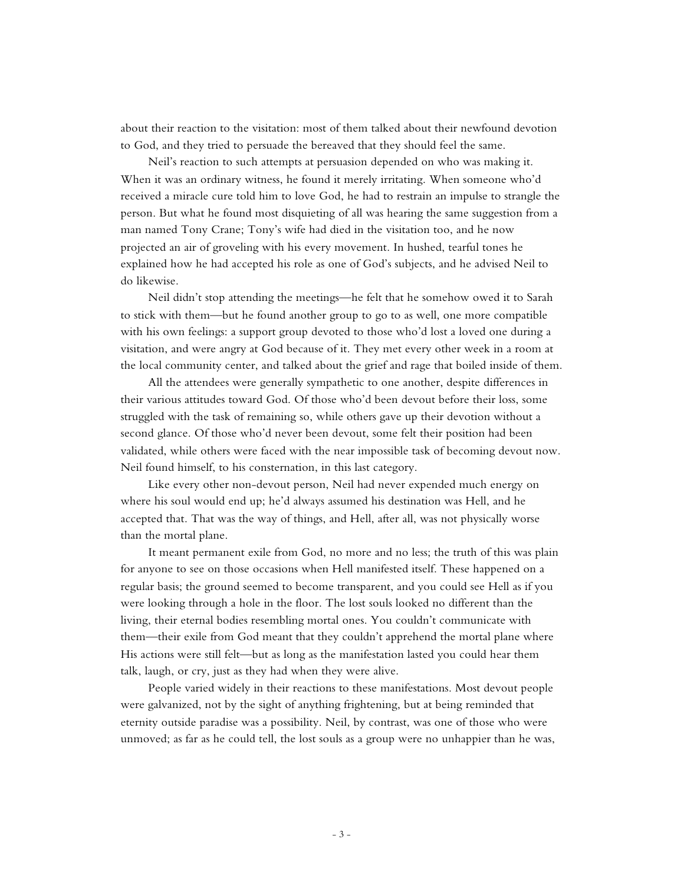about their reaction to the visitation: most of them talked about their newfound devotion to God, and they tried to persuade the bereaved that they should feel the same.

Neil's reaction to such attempts at persuasion depended on who was making it. When it was an ordinary witness, he found it merely irritating. When someone who'd received a miracle cure told him to love God, he had to restrain an impulse to strangle the person. But what he found most disquieting of all was hearing the same suggestion from a man named Tony Crane; Tony's wife had died in the visitation too, and he now projected an air of groveling with his every movement. In hushed, tearful tones he explained how he had accepted his role as one of God's subjects, and he advised Neil to do likewise.

Neil didn't stop attending the meetings—he felt that he somehow owed it to Sarah to stick with them—but he found another group to go to as well, one more compatible with his own feelings: a support group devoted to those who'd lost a loved one during a visitation, and were angry at God because of it. They met every other week in a room at the local community center, and talked about the grief and rage that boiled inside of them.

All the attendees were generally sympathetic to one another, despite differences in their various attitudes toward God. Of those who'd been devout before their loss, some struggled with the task of remaining so, while others gave up their devotion without a second glance. Of those who'd never been devout, some felt their position had been validated, while others were faced with the near impossible task of becoming devout now. Neil found himself, to his consternation, in this last category.

Like every other non-devout person, Neil had never expended much energy on where his soul would end up; he'd always assumed his destination was Hell, and he accepted that. That was the way of things, and Hell, after all, was not physically worse than the mortal plane.

It meant permanent exile from God, no more and no less; the truth of this was plain for anyone to see on those occasions when Hell manifested itself. These happened on a regular basis; the ground seemed to become transparent, and you could see Hell as if you were looking through a hole in the floor. The lost souls looked no different than the living, their eternal bodies resembling mortal ones. You couldn't communicate with them—their exile from God meant that they couldn't apprehend the mortal plane where His actions were still felt—but as long as the manifestation lasted you could hear them talk, laugh, or cry, just as they had when they were alive.

People varied widely in their reactions to these manifestations. Most devout people were galvanized, not by the sight of anything frightening, but at being reminded that eternity outside paradise was a possibility. Neil, by contrast, was one of those who were unmoved; as far as he could tell, the lost souls as a group were no unhappier than he was,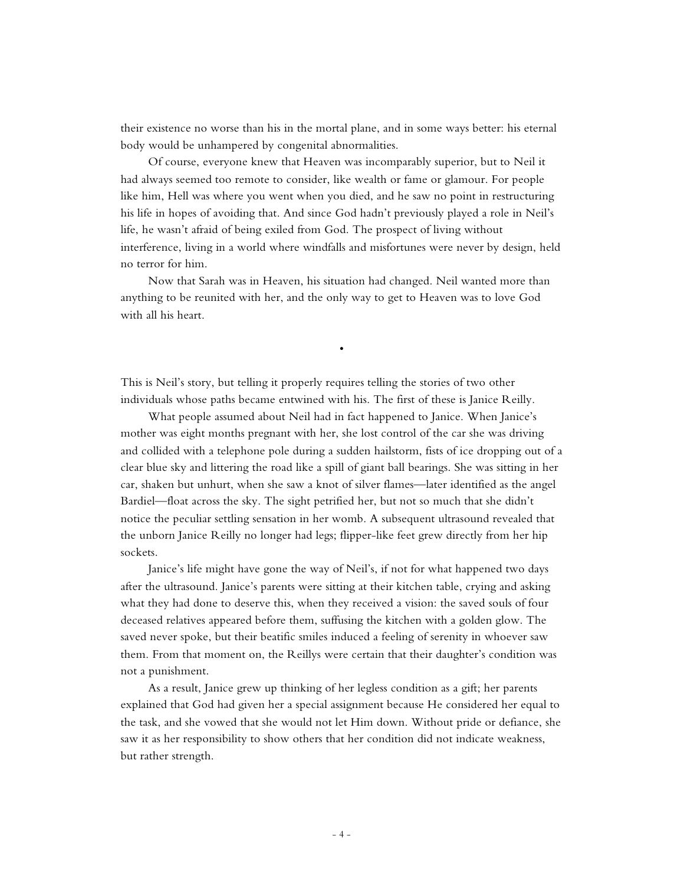their existence no worse than his in the mortal plane, and in some ways better: his eternal body would be unhampered by congenital abnormalities.

Of course, everyone knew that Heaven was incomparably superior, but to Neil it had always seemed too remote to consider, like wealth or fame or glamour. For people like him, Hell was where you went when you died, and he saw no point in restructuring his life in hopes of avoiding that. And since God hadn't previously played a role in Neil's life, he wasn't afraid of being exiled from God. The prospect of living without interference, living in a world where windfalls and misfortunes were never by design, held no terror for him.

Now that Sarah was in Heaven, his situation had changed. Neil wanted more than anything to be reunited with her, and the only way to get to Heaven was to love God with all his heart.

•

This is Neil's story, but telling it properly requires telling the stories of two other individuals whose paths became entwined with his. The first of these is Janice Reilly.

What people assumed about Neil had in fact happened to Janice. When Janice's mother was eight months pregnant with her, she lost control of the car she was driving and collided with a telephone pole during a sudden hailstorm, fists of ice dropping out of a clear blue sky and littering the road like a spill of giant ball bearings. She was sitting in her car, shaken but unhurt, when she saw a knot of silver flames—later identified as the angel Bardiel—float across the sky. The sight petrified her, but not so much that she didn't notice the peculiar settling sensation in her womb. A subsequent ultrasound revealed that the unborn Janice Reilly no longer had legs; flipper-like feet grew directly from her hip sockets.

Janice's life might have gone the way of Neil's, if not for what happened two days after the ultrasound. Janice's parents were sitting at their kitchen table, crying and asking what they had done to deserve this, when they received a vision: the saved souls of four deceased relatives appeared before them, suffusing the kitchen with a golden glow. The saved never spoke, but their beatific smiles induced a feeling of serenity in whoever saw them. From that moment on, the Reillys were certain that their daughter's condition was not a punishment.

As a result, Janice grew up thinking of her legless condition as a gift; her parents explained that God had given her a special assignment because He considered her equal to the task, and she vowed that she would not let Him down. Without pride or defiance, she saw it as her responsibility to show others that her condition did not indicate weakness, but rather strength.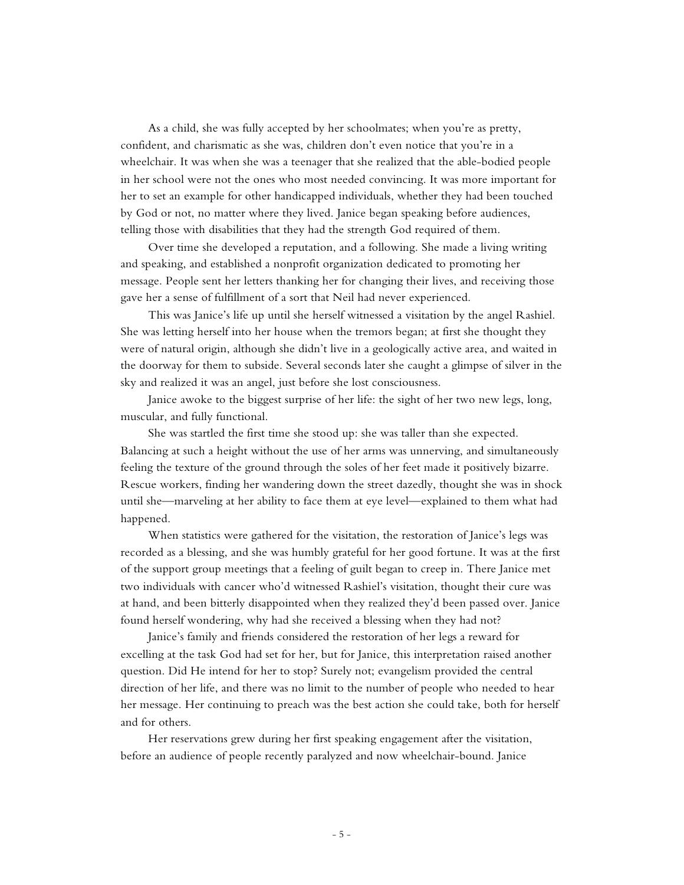As a child, she was fully accepted by her schoolmates; when you're as pretty, confident, and charismatic as she was, children don't even notice that you're in a wheelchair. It was when she was a teenager that she realized that the able-bodied people in her school were not the ones who most needed convincing. It was more important for her to set an example for other handicapped individuals, whether they had been touched by God or not, no matter where they lived. Janice began speaking before audiences, telling those with disabilities that they had the strength God required of them.

Over time she developed a reputation, and a following. She made a living writing and speaking, and established a nonprofit organization dedicated to promoting her message. People sent her letters thanking her for changing their lives, and receiving those gave her a sense of fulfillment of a sort that Neil had never experienced.

This was Janice's life up until she herself witnessed a visitation by the angel Rashiel. She was letting herself into her house when the tremors began; at first she thought they were of natural origin, although she didn't live in a geologically active area, and waited in the doorway for them to subside. Several seconds later she caught a glimpse of silver in the sky and realized it was an angel, just before she lost consciousness.

Janice awoke to the biggest surprise of her life: the sight of her two new legs, long, muscular, and fully functional.

She was startled the first time she stood up: she was taller than she expected. Balancing at such a height without the use of her arms was unnerving, and simultaneously feeling the texture of the ground through the soles of her feet made it positively bizarre. Rescue workers, finding her wandering down the street dazedly, thought she was in shock until she—marveling at her ability to face them at eye level—explained to them what had happened.

When statistics were gathered for the visitation, the restoration of Janice's legs was recorded as a blessing, and she was humbly grateful for her good fortune. It was at the first of the support group meetings that a feeling of guilt began to creep in. There Janice met two individuals with cancer who'd witnessed Rashiel's visitation, thought their cure was at hand, and been bitterly disappointed when they realized they'd been passed over. Janice found herself wondering, why had she received a blessing when they had not?

Janice's family and friends considered the restoration of her legs a reward for excelling at the task God had set for her, but for Janice, this interpretation raised another question. Did He intend for her to stop? Surely not; evangelism provided the central direction of her life, and there was no limit to the number of people who needed to hear her message. Her continuing to preach was the best action she could take, both for herself and for others.

Her reservations grew during her first speaking engagement after the visitation, before an audience of people recently paralyzed and now wheelchair-bound. Janice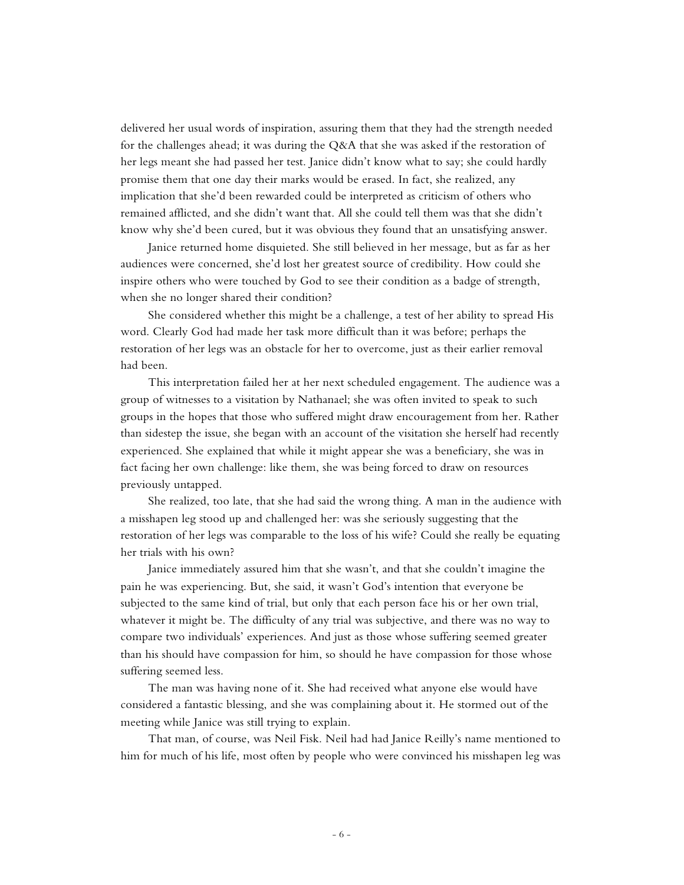delivered her usual words of inspiration, assuring them that they had the strength needed for the challenges ahead; it was during the  $Q\&A$  that she was asked if the restoration of her legs meant she had passed her test. Janice didn't know what to say; she could hardly promise them that one day their marks would be erased. In fact, she realized, any implication that she'd been rewarded could be interpreted as criticism of others who remained afflicted, and she didn't want that. All she could tell them was that she didn't know why she'd been cured, but it was obvious they found that an unsatisfying answer.

Janice returned home disquieted. She still believed in her message, but as far as her audiences were concerned, she'd lost her greatest source of credibility. How could she inspire others who were touched by God to see their condition as a badge of strength, when she no longer shared their condition?

She considered whether this might be a challenge, a test of her ability to spread His word. Clearly God had made her task more difficult than it was before; perhaps the restoration of her legs was an obstacle for her to overcome, just as their earlier removal had been.

This interpretation failed her at her next scheduled engagement. The audience was a group of witnesses to a visitation by Nathanael; she was often invited to speak to such groups in the hopes that those who suffered might draw encouragement from her. Rather than sidestep the issue, she began with an account of the visitation she herself had recently experienced. She explained that while it might appear she was a beneficiary, she was in fact facing her own challenge: like them, she was being forced to draw on resources previously untapped.

She realized, too late, that she had said the wrong thing. A man in the audience with a misshapen leg stood up and challenged her: was she seriously suggesting that the restoration of her legs was comparable to the loss of his wife? Could she really be equating her trials with his own?

Janice immediately assured him that she wasn't, and that she couldn't imagine the pain he was experiencing. But, she said, it wasn't God's intention that everyone be subjected to the same kind of trial, but only that each person face his or her own trial, whatever it might be. The difficulty of any trial was subjective, and there was no way to compare two individuals' experiences. And just as those whose suffering seemed greater than his should have compassion for him, so should he have compassion for those whose suffering seemed less.

The man was having none of it. She had received what anyone else would have considered a fantastic blessing, and she was complaining about it. He stormed out of the meeting while Janice was still trying to explain.

That man, of course, was Neil Fisk. Neil had had Janice Reilly's name mentioned to him for much of his life, most often by people who were convinced his misshapen leg was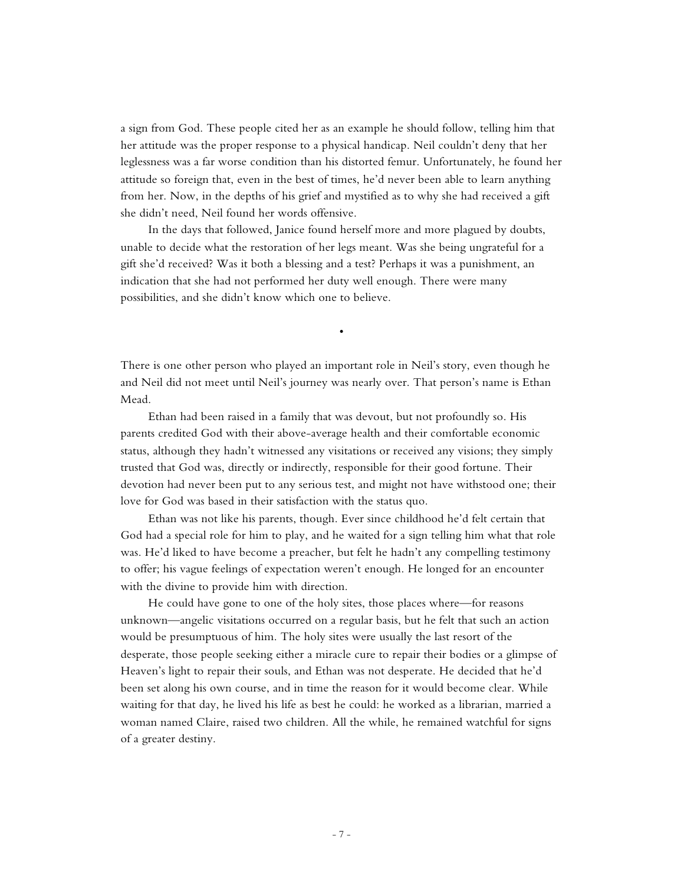a sign from God. These people cited her as an example he should follow, telling him that her attitude was the proper response to a physical handicap. Neil couldn't deny that her leglessness was a far worse condition than his distorted femur. Unfortunately, he found her attitude so foreign that, even in the best of times, he'd never been able to learn anything from her. Now, in the depths of his grief and mystified as to why she had received a gift she didn't need, Neil found her words offensive.

In the days that followed, Janice found herself more and more plagued by doubts, unable to decide what the restoration of her legs meant. Was she being ungrateful for a gift she'd received? Was it both a blessing and a test? Perhaps it was a punishment, an indication that she had not performed her duty well enough. There were many possibilities, and she didn't know which one to believe.

There is one other person who played an important role in Neil's story, even though he and Neil did not meet until Neil's journey was nearly over. That person's name is Ethan Mead.

•

Ethan had been raised in a family that was devout, but not profoundly so. His parents credited God with their above-average health and their comfortable economic status, although they hadn't witnessed any visitations or received any visions; they simply trusted that God was, directly or indirectly, responsible for their good fortune. Their devotion had never been put to any serious test, and might not have withstood one; their love for God was based in their satisfaction with the status quo.

Ethan was not like his parents, though. Ever since childhood he'd felt certain that God had a special role for him to play, and he waited for a sign telling him what that role was. He'd liked to have become a preacher, but felt he hadn't any compelling testimony to offer; his vague feelings of expectation weren't enough. He longed for an encounter with the divine to provide him with direction.

He could have gone to one of the holy sites, those places where—for reasons unknown—angelic visitations occurred on a regular basis, but he felt that such an action would be presumptuous of him. The holy sites were usually the last resort of the desperate, those people seeking either a miracle cure to repair their bodies or a glimpse of Heaven's light to repair their souls, and Ethan was not desperate. He decided that he'd been set along his own course, and in time the reason for it would become clear. While waiting for that day, he lived his life as best he could: he worked as a librarian, married a woman named Claire, raised two children. All the while, he remained watchful for signs of a greater destiny.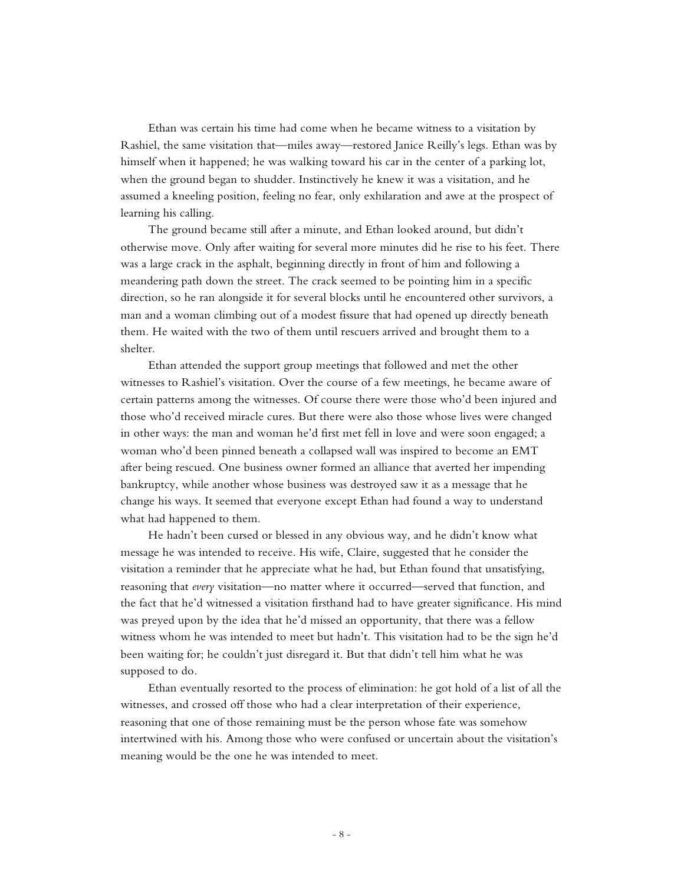Ethan was certain his time had come when he became witness to a visitation by Rashiel, the same visitation that—miles away—restored Janice Reilly's legs. Ethan was by himself when it happened; he was walking toward his car in the center of a parking lot, when the ground began to shudder. Instinctively he knew it was a visitation, and he assumed a kneeling position, feeling no fear, only exhilaration and awe at the prospect of learning his calling.

The ground became still after a minute, and Ethan looked around, but didn't otherwise move. Only after waiting for several more minutes did he rise to his feet. There was a large crack in the asphalt, beginning directly in front of him and following a meandering path down the street. The crack seemed to be pointing him in a specific direction, so he ran alongside it for several blocks until he encountered other survivors, a man and a woman climbing out of a modest fissure that had opened up directly beneath them. He waited with the two of them until rescuers arrived and brought them to a shelter.

Ethan attended the support group meetings that followed and met the other witnesses to Rashiel's visitation. Over the course of a few meetings, he became aware of certain patterns among the witnesses. Of course there were those who'd been injured and those who'd received miracle cures. But there were also those whose lives were changed in other ways: the man and woman he'd first met fell in love and were soon engaged; a woman who'd been pinned beneath a collapsed wall was inspired to become an EMT after being rescued. One business owner formed an alliance that averted her impending bankruptcy, while another whose business was destroyed saw it as a message that he change his ways. It seemed that everyone except Ethan had found a way to understand what had happened to them.

He hadn't been cursed or blessed in any obvious way, and he didn't know what message he was intended to receive. His wife, Claire, suggested that he consider the visitation a reminder that he appreciate what he had, but Ethan found that unsatisfying, reasoning that *every* visitation—no matter where it occurred—served that function, and the fact that he'd witnessed a visitation firsthand had to have greater significance. His mind was preyed upon by the idea that he'd missed an opportunity, that there was a fellow witness whom he was intended to meet but hadn't. This visitation had to be the sign he'd been waiting for; he couldn't just disregard it. But that didn't tell him what he was supposed to do.

Ethan eventually resorted to the process of elimination: he got hold of a list of all the witnesses, and crossed off those who had a clear interpretation of their experience, reasoning that one of those remaining must be the person whose fate was somehow intertwined with his. Among those who were confused or uncertain about the visitation's meaning would be the one he was intended to meet.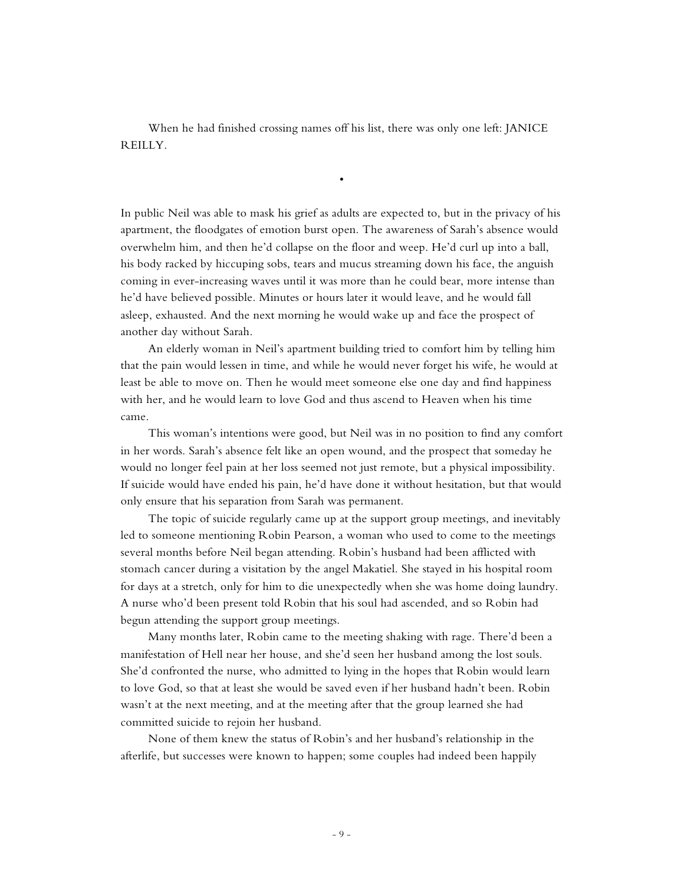When he had finished crossing names off his list, there was only one left: JANICE REILLY.

•

In public Neil was able to mask his grief as adults are expected to, but in the privacy of his apartment, the floodgates of emotion burst open. The awareness of Sarah's absence would overwhelm him, and then he'd collapse on the floor and weep. He'd curl up into a ball, his body racked by hiccuping sobs, tears and mucus streaming down his face, the anguish coming in ever-increasing waves until it was more than he could bear, more intense than he'd have believed possible. Minutes or hours later it would leave, and he would fall asleep, exhausted. And the next morning he would wake up and face the prospect of another day without Sarah.

An elderly woman in Neil's apartment building tried to comfort him by telling him that the pain would lessen in time, and while he would never forget his wife, he would at least be able to move on. Then he would meet someone else one day and find happiness with her, and he would learn to love God and thus ascend to Heaven when his time came.

This woman's intentions were good, but Neil was in no position to find any comfort in her words. Sarah's absence felt like an open wound, and the prospect that someday he would no longer feel pain at her loss seemed not just remote, but a physical impossibility. If suicide would have ended his pain, he'd have done it without hesitation, but that would only ensure that his separation from Sarah was permanent.

The topic of suicide regularly came up at the support group meetings, and inevitably led to someone mentioning Robin Pearson, a woman who used to come to the meetings several months before Neil began attending. Robin's husband had been afflicted with stomach cancer during a visitation by the angel Makatiel. She stayed in his hospital room for days at a stretch, only for him to die unexpectedly when she was home doing laundry. A nurse who'd been present told Robin that his soul had ascended, and so Robin had begun attending the support group meetings.

Many months later, Robin came to the meeting shaking with rage. There'd been a manifestation of Hell near her house, and she'd seen her husband among the lost souls. She'd confronted the nurse, who admitted to lying in the hopes that Robin would learn to love God, so that at least she would be saved even if her husband hadn't been. Robin wasn't at the next meeting, and at the meeting after that the group learned she had committed suicide to rejoin her husband.

None of them knew the status of Robin's and her husband's relationship in the afterlife, but successes were known to happen; some couples had indeed been happily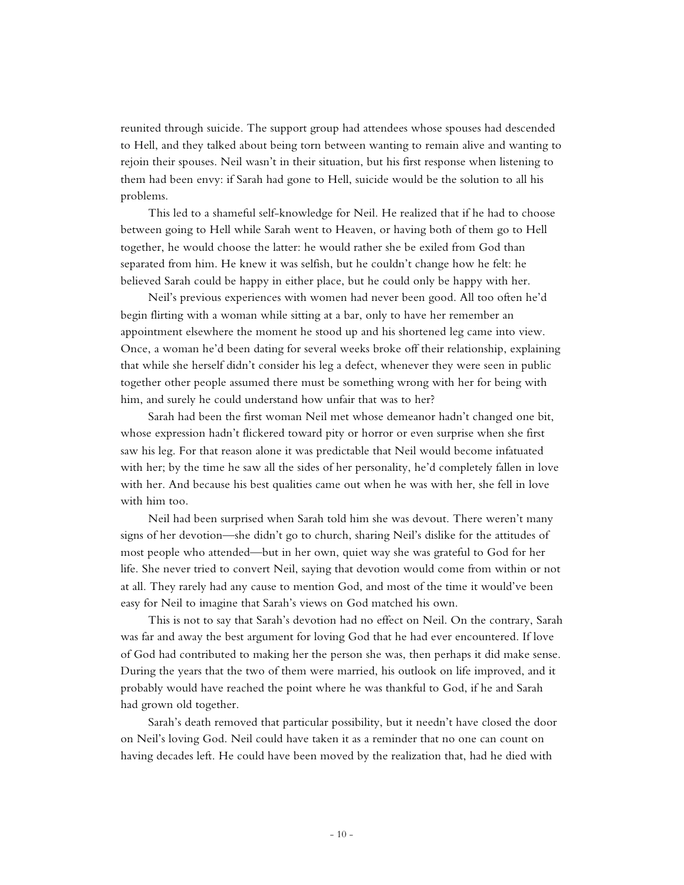reunited through suicide. The support group had attendees whose spouses had descended to Hell, and they talked about being torn between wanting to remain alive and wanting to rejoin their spouses. Neil wasn't in their situation, but his first response when listening to them had been envy: if Sarah had gone to Hell, suicide would be the solution to all his problems.

This led to a shameful self-knowledge for Neil. He realized that if he had to choose between going to Hell while Sarah went to Heaven, or having both of them go to Hell together, he would choose the latter: he would rather she be exiled from God than separated from him. He knew it was selfish, but he couldn't change how he felt: he believed Sarah could be happy in either place, but he could only be happy with her.

Neil's previous experiences with women had never been good. All too often he'd begin flirting with a woman while sitting at a bar, only to have her remember an appointment elsewhere the moment he stood up and his shortened leg came into view. Once, a woman he'd been dating for several weeks broke off their relationship, explaining that while she herself didn't consider his leg a defect, whenever they were seen in public together other people assumed there must be something wrong with her for being with him, and surely he could understand how unfair that was to her?

Sarah had been the first woman Neil met whose demeanor hadn't changed one bit, whose expression hadn't flickered toward pity or horror or even surprise when she first saw his leg. For that reason alone it was predictable that Neil would become infatuated with her; by the time he saw all the sides of her personality, he'd completely fallen in love with her. And because his best qualities came out when he was with her, she fell in love with him too.

Neil had been surprised when Sarah told him she was devout. There weren't many signs of her devotion—she didn't go to church, sharing Neil's dislike for the attitudes of most people who attended—but in her own, quiet way she was grateful to God for her life. She never tried to convert Neil, saying that devotion would come from within or not at all. They rarely had any cause to mention God, and most of the time it would've been easy for Neil to imagine that Sarah's views on God matched his own.

This is not to say that Sarah's devotion had no effect on Neil. On the contrary, Sarah was far and away the best argument for loving God that he had ever encountered. If love of God had contributed to making her the person she was, then perhaps it did make sense. During the years that the two of them were married, his outlook on life improved, and it probably would have reached the point where he was thankful to God, if he and Sarah had grown old together.

Sarah's death removed that particular possibility, but it needn't have closed the door on Neil's loving God. Neil could have taken it as a reminder that no one can count on having decades left. He could have been moved by the realization that, had he died with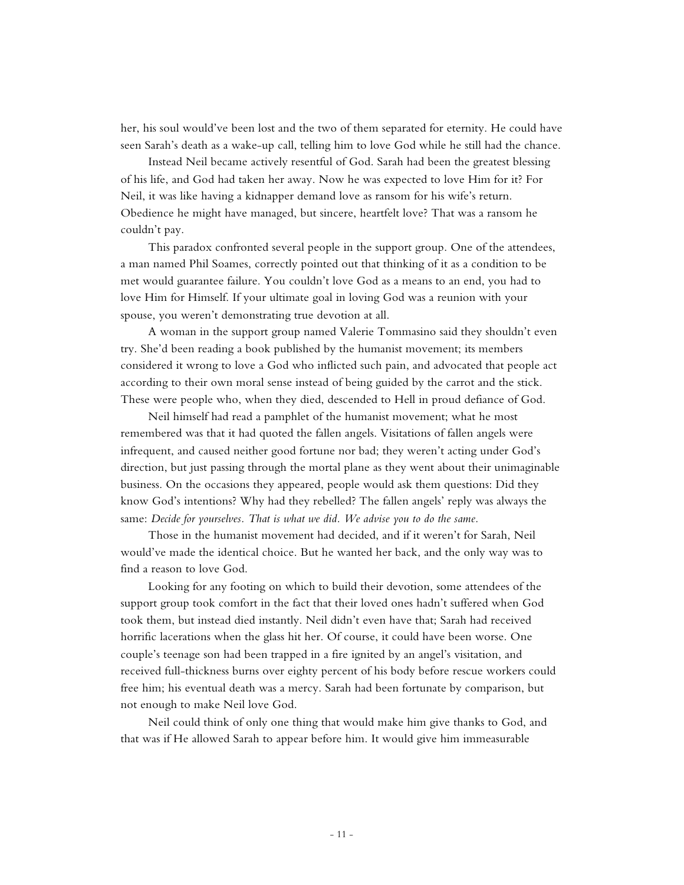her, his soul would've been lost and the two of them separated for eternity. He could have seen Sarah's death as a wake-up call, telling him to love God while he still had the chance.

Instead Neil became actively resentful of God. Sarah had been the greatest blessing of his life, and God had taken her away. Now he was expected to love Him for it? For Neil, it was like having a kidnapper demand love as ransom for his wife's return. Obedience he might have managed, but sincere, heartfelt love? That was a ransom he couldn't pay.

This paradox confronted several people in the support group. One of the attendees, a man named Phil Soames, correctly pointed out that thinking of it as a condition to be met would guarantee failure. You couldn't love God as a means to an end, you had to love Him for Himself. If your ultimate goal in loving God was a reunion with your spouse, you weren't demonstrating true devotion at all.

A woman in the support group named Valerie Tommasino said they shouldn't even try. She'd been reading a book published by the humanist movement; its members considered it wrong to love a God who inflicted such pain, and advocated that people act according to their own moral sense instead of being guided by the carrot and the stick. These were people who, when they died, descended to Hell in proud defiance of God.

Neil himself had read a pamphlet of the humanist movement; what he most remembered was that it had quoted the fallen angels. Visitations of fallen angels were infrequent, and caused neither good fortune nor bad; they weren't acting under God's direction, but just passing through the mortal plane as they went about their unimaginable business. On the occasions they appeared, people would ask them questions: Did they know God's intentions? Why had they rebelled? The fallen angels' reply was always the same: *Decide for yourselves. That is what we did. We advise you to do the same.*

Those in the humanist movement had decided, and if it weren't for Sarah, Neil would've made the identical choice. But he wanted her back, and the only way was to find a reason to love God.

Looking for any footing on which to build their devotion, some attendees of the support group took comfort in the fact that their loved ones hadn't suffered when God took them, but instead died instantly. Neil didn't even have that; Sarah had received horrific lacerations when the glass hit her. Of course, it could have been worse. One couple's teenage son had been trapped in a fire ignited by an angel's visitation, and received full-thickness burns over eighty percent of his body before rescue workers could free him; his eventual death was a mercy. Sarah had been fortunate by comparison, but not enough to make Neil love God.

Neil could think of only one thing that would make him give thanks to God, and that was if He allowed Sarah to appear before him. It would give him immeasurable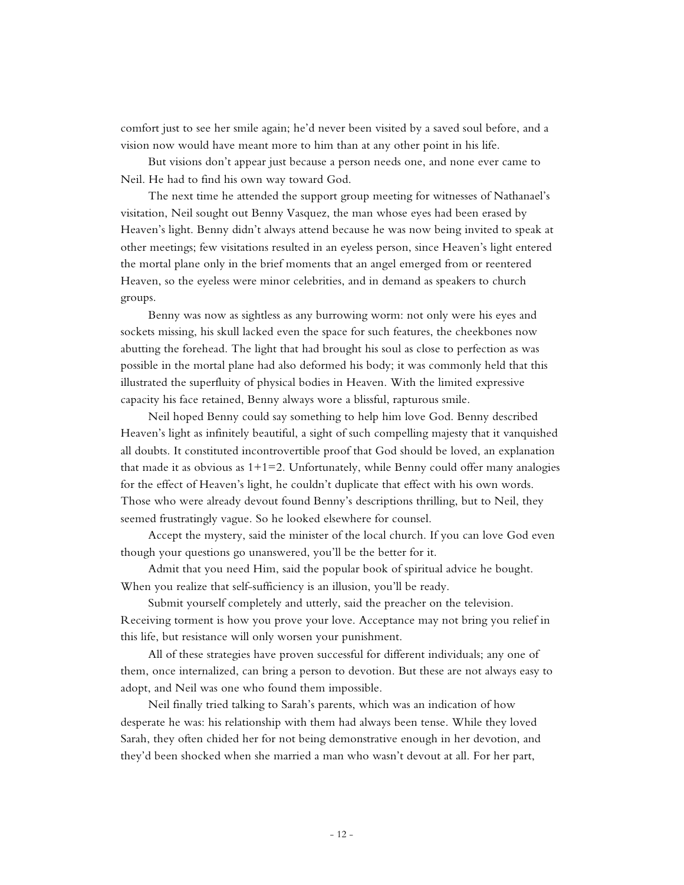comfort just to see her smile again; he'd never been visited by a saved soul before, and a vision now would have meant more to him than at any other point in his life.

But visions don't appear just because a person needs one, and none ever came to Neil. He had to find his own way toward God.

The next time he attended the support group meeting for witnesses of Nathanael's visitation, Neil sought out Benny Vasquez, the man whose eyes had been erased by Heaven's light. Benny didn't always attend because he was now being invited to speak at other meetings; few visitations resulted in an eyeless person, since Heaven's light entered the mortal plane only in the brief moments that an angel emerged from or reentered Heaven, so the eyeless were minor celebrities, and in demand as speakers to church groups.

Benny was now as sightless as any burrowing worm: not only were his eyes and sockets missing, his skull lacked even the space for such features, the cheekbones now abutting the forehead. The light that had brought his soul as close to perfection as was possible in the mortal plane had also deformed his body; it was commonly held that this illustrated the superfluity of physical bodies in Heaven. With the limited expressive capacity his face retained, Benny always wore a blissful, rapturous smile.

Neil hoped Benny could say something to help him love God. Benny described Heaven's light as infinitely beautiful, a sight of such compelling majesty that it vanquished all doubts. It constituted incontrovertible proof that God should be loved, an explanation that made it as obvious as  $1+1=2$ . Unfortunately, while Benny could offer many analogies for the effect of Heaven's light, he couldn't duplicate that effect with his own words. Those who were already devout found Benny's descriptions thrilling, but to Neil, they seemed frustratingly vague. So he looked elsewhere for counsel.

Accept the mystery, said the minister of the local church. If you can love God even though your questions go unanswered, you'll be the better for it.

Admit that you need Him, said the popular book of spiritual advice he bought. When you realize that self-sufficiency is an illusion, you'll be ready.

Submit yourself completely and utterly, said the preacher on the television. Receiving torment is how you prove your love. Acceptance may not bring you relief in this life, but resistance will only worsen your punishment.

All of these strategies have proven successful for different individuals; any one of them, once internalized, can bring a person to devotion. But these are not always easy to adopt, and Neil was one who found them impossible.

Neil finally tried talking to Sarah's parents, which was an indication of how desperate he was: his relationship with them had always been tense. While they loved Sarah, they often chided her for not being demonstrative enough in her devotion, and they'd been shocked when she married a man who wasn't devout at all. For her part,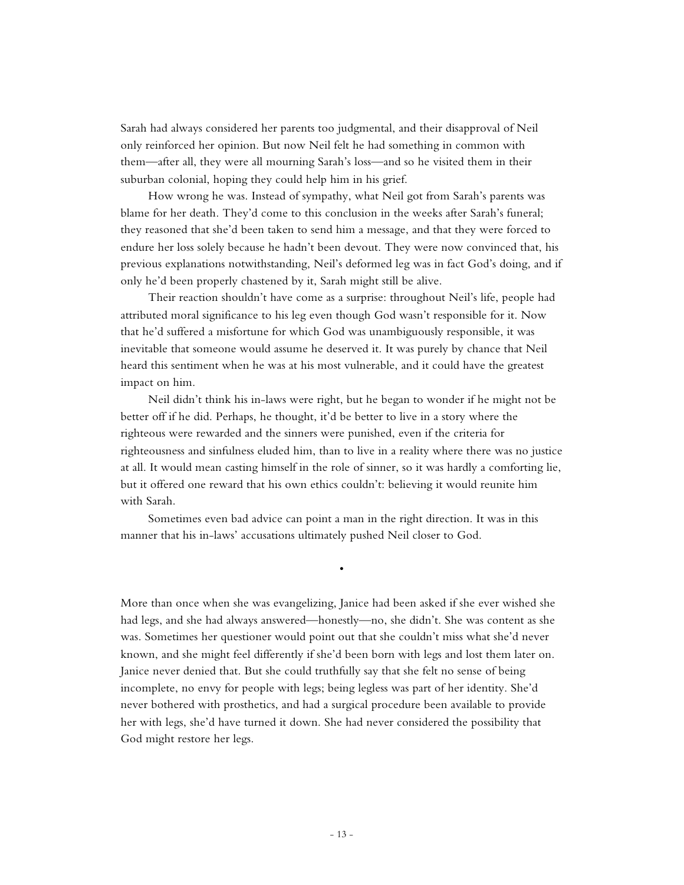Sarah had always considered her parents too judgmental, and their disapproval of Neil only reinforced her opinion. But now Neil felt he had something in common with them—after all, they were all mourning Sarah's loss—and so he visited them in their suburban colonial, hoping they could help him in his grief.

How wrong he was. Instead of sympathy, what Neil got from Sarah's parents was blame for her death. They'd come to this conclusion in the weeks after Sarah's funeral; they reasoned that she'd been taken to send him a message, and that they were forced to endure her loss solely because he hadn't been devout. They were now convinced that, his previous explanations notwithstanding, Neil's deformed leg was in fact God's doing, and if only he'd been properly chastened by it, Sarah might still be alive.

Their reaction shouldn't have come as a surprise: throughout Neil's life, people had attributed moral significance to his leg even though God wasn't responsible for it. Now that he'd suffered a misfortune for which God was unambiguously responsible, it was inevitable that someone would assume he deserved it. It was purely by chance that Neil heard this sentiment when he was at his most vulnerable, and it could have the greatest impact on him.

Neil didn't think his in-laws were right, but he began to wonder if he might not be better off if he did. Perhaps, he thought, it'd be better to live in a story where the righteous were rewarded and the sinners were punished, even if the criteria for righteousness and sinfulness eluded him, than to live in a reality where there was no justice at all. It would mean casting himself in the role of sinner, so it was hardly a comforting lie, but it offered one reward that his own ethics couldn't: believing it would reunite him with Sarah.

Sometimes even bad advice can point a man in the right direction. It was in this manner that his in-laws' accusations ultimately pushed Neil closer to God.

•

More than once when she was evangelizing, Janice had been asked if she ever wished she had legs, and she had always answered—honestly—no, she didn't. She was content as she was. Sometimes her questioner would point out that she couldn't miss what she'd never known, and she might feel differently if she'd been born with legs and lost them later on. Janice never denied that. But she could truthfully say that she felt no sense of being incomplete, no envy for people with legs; being legless was part of her identity. She'd never bothered with prosthetics, and had a surgical procedure been available to provide her with legs, she'd have turned it down. She had never considered the possibility that God might restore her legs.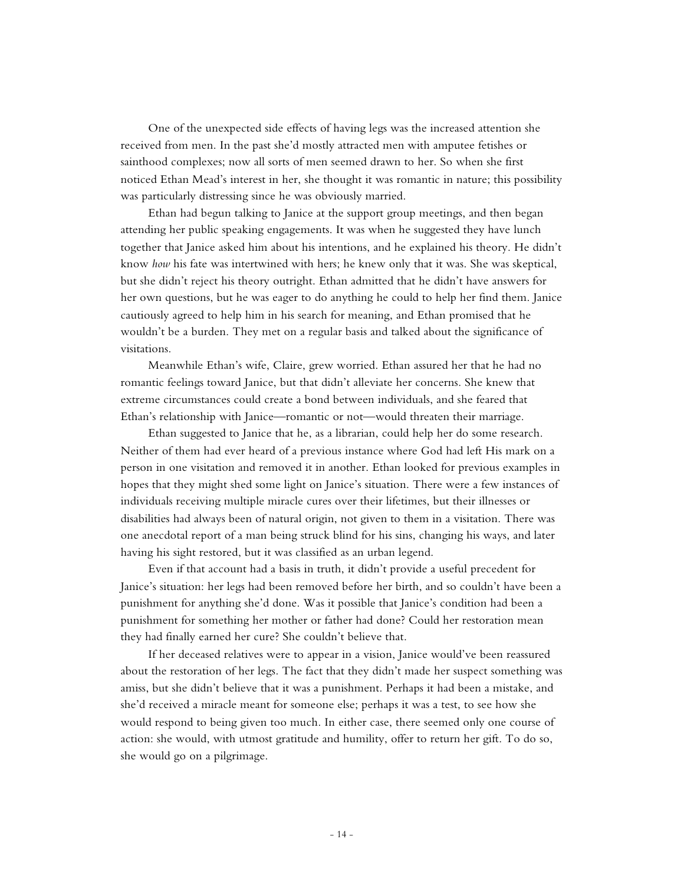One of the unexpected side effects of having legs was the increased attention she received from men. In the past she'd mostly attracted men with amputee fetishes or sainthood complexes; now all sorts of men seemed drawn to her. So when she first noticed Ethan Mead's interest in her, she thought it was romantic in nature; this possibility was particularly distressing since he was obviously married.

Ethan had begun talking to Janice at the support group meetings, and then began attending her public speaking engagements. It was when he suggested they have lunch together that Janice asked him about his intentions, and he explained his theory. He didn't know *how* his fate was intertwined with hers; he knew only that it was. She was skeptical, but she didn't reject his theory outright. Ethan admitted that he didn't have answers for her own questions, but he was eager to do anything he could to help her find them. Janice cautiously agreed to help him in his search for meaning, and Ethan promised that he wouldn't be a burden. They met on a regular basis and talked about the significance of visitations.

Meanwhile Ethan's wife, Claire, grew worried. Ethan assured her that he had no romantic feelings toward Janice, but that didn't alleviate her concerns. She knew that extreme circumstances could create a bond between individuals, and she feared that Ethan's relationship with Janice—romantic or not—would threaten their marriage.

Ethan suggested to Janice that he, as a librarian, could help her do some research. Neither of them had ever heard of a previous instance where God had left His mark on a person in one visitation and removed it in another. Ethan looked for previous examples in hopes that they might shed some light on Janice's situation. There were a few instances of individuals receiving multiple miracle cures over their lifetimes, but their illnesses or disabilities had always been of natural origin, not given to them in a visitation. There was one anecdotal report of a man being struck blind for his sins, changing his ways, and later having his sight restored, but it was classified as an urban legend.

Even if that account had a basis in truth, it didn't provide a useful precedent for Janice's situation: her legs had been removed before her birth, and so couldn't have been a punishment for anything she'd done. Was it possible that Janice's condition had been a punishment for something her mother or father had done? Could her restoration mean they had finally earned her cure? She couldn't believe that.

If her deceased relatives were to appear in a vision, Janice would've been reassured about the restoration of her legs. The fact that they didn't made her suspect something was amiss, but she didn't believe that it was a punishment. Perhaps it had been a mistake, and she'd received a miracle meant for someone else; perhaps it was a test, to see how she would respond to being given too much. In either case, there seemed only one course of action: she would, with utmost gratitude and humility, offer to return her gift. To do so, she would go on a pilgrimage.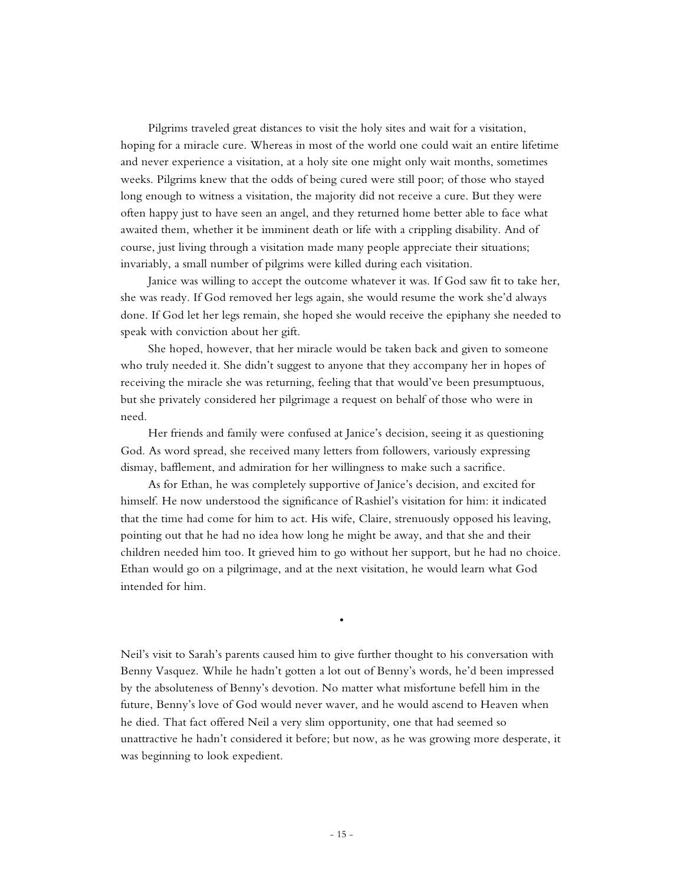Pilgrims traveled great distances to visit the holy sites and wait for a visitation, hoping for a miracle cure. Whereas in most of the world one could wait an entire lifetime and never experience a visitation, at a holy site one might only wait months, sometimes weeks. Pilgrims knew that the odds of being cured were still poor; of those who stayed long enough to witness a visitation, the majority did not receive a cure. But they were often happy just to have seen an angel, and they returned home better able to face what awaited them, whether it be imminent death or life with a crippling disability. And of course, just living through a visitation made many people appreciate their situations; invariably, a small number of pilgrims were killed during each visitation.

Janice was willing to accept the outcome whatever it was. If God saw fit to take her, she was ready. If God removed her legs again, she would resume the work she'd always done. If God let her legs remain, she hoped she would receive the epiphany she needed to speak with conviction about her gift.

She hoped, however, that her miracle would be taken back and given to someone who truly needed it. She didn't suggest to anyone that they accompany her in hopes of receiving the miracle she was returning, feeling that that would've been presumptuous, but she privately considered her pilgrimage a request on behalf of those who were in need.

Her friends and family were confused at Janice's decision, seeing it as questioning God. As word spread, she received many letters from followers, variously expressing dismay, bafflement, and admiration for her willingness to make such a sacrifice.

As for Ethan, he was completely supportive of Janice's decision, and excited for himself. He now understood the significance of Rashiel's visitation for him: it indicated that the time had come for him to act. His wife, Claire, strenuously opposed his leaving, pointing out that he had no idea how long he might be away, and that she and their children needed him too. It grieved him to go without her support, but he had no choice. Ethan would go on a pilgrimage, and at the next visitation, he would learn what God intended for him.

Neil's visit to Sarah's parents caused him to give further thought to his conversation with Benny Vasquez. While he hadn't gotten a lot out of Benny's words, he'd been impressed by the absoluteness of Benny's devotion. No matter what misfortune befell him in the future, Benny's love of God would never waver, and he would ascend to Heaven when he died. That fact offered Neil a very slim opportunity, one that had seemed so unattractive he hadn't considered it before; but now, as he was growing more desperate, it was beginning to look expedient.

•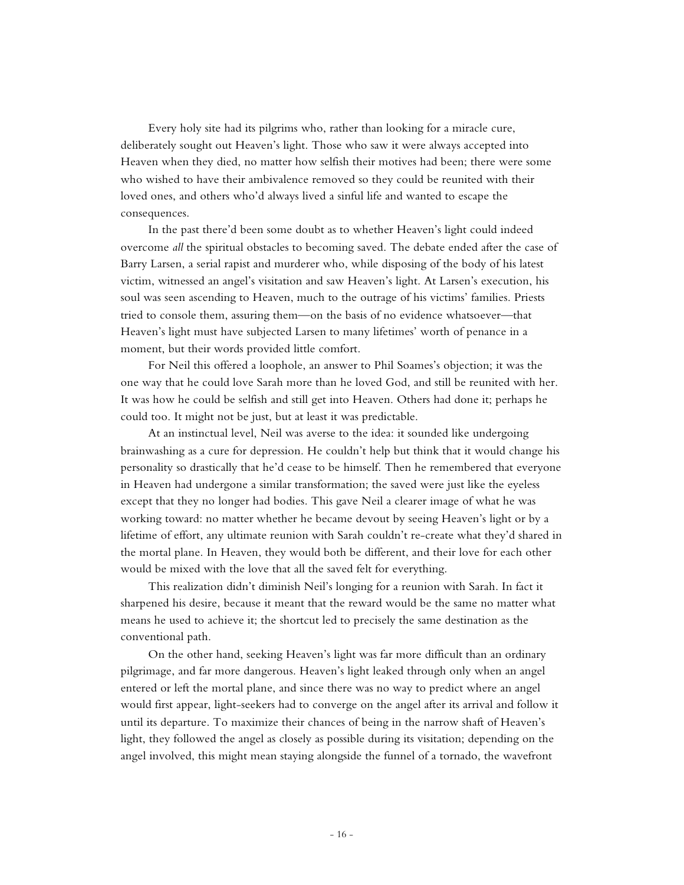Every holy site had its pilgrims who, rather than looking for a miracle cure, deliberately sought out Heaven's light. Those who saw it were always accepted into Heaven when they died, no matter how selfish their motives had been; there were some who wished to have their ambivalence removed so they could be reunited with their loved ones, and others who'd always lived a sinful life and wanted to escape the consequences.

In the past there'd been some doubt as to whether Heaven's light could indeed overcome *all* the spiritual obstacles to becoming saved. The debate ended after the case of Barry Larsen, a serial rapist and murderer who, while disposing of the body of his latest victim, witnessed an angel's visitation and saw Heaven's light. At Larsen's execution, his soul was seen ascending to Heaven, much to the outrage of his victims' families. Priests tried to console them, assuring them—on the basis of no evidence whatsoever—that Heaven's light must have subjected Larsen to many lifetimes' worth of penance in a moment, but their words provided little comfort.

For Neil this offered a loophole, an answer to Phil Soames's objection; it was the one way that he could love Sarah more than he loved God, and still be reunited with her. It was how he could be selfish and still get into Heaven. Others had done it; perhaps he could too. It might not be just, but at least it was predictable.

At an instinctual level, Neil was averse to the idea: it sounded like undergoing brainwashing as a cure for depression. He couldn't help but think that it would change his personality so drastically that he'd cease to be himself. Then he remembered that everyone in Heaven had undergone a similar transformation; the saved were just like the eyeless except that they no longer had bodies. This gave Neil a clearer image of what he was working toward: no matter whether he became devout by seeing Heaven's light or by a lifetime of effort, any ultimate reunion with Sarah couldn't re-create what they'd shared in the mortal plane. In Heaven, they would both be different, and their love for each other would be mixed with the love that all the saved felt for everything.

This realization didn't diminish Neil's longing for a reunion with Sarah. In fact it sharpened his desire, because it meant that the reward would be the same no matter what means he used to achieve it; the shortcut led to precisely the same destination as the conventional path.

On the other hand, seeking Heaven's light was far more difficult than an ordinary pilgrimage, and far more dangerous. Heaven's light leaked through only when an angel entered or left the mortal plane, and since there was no way to predict where an angel would first appear, light-seekers had to converge on the angel after its arrival and follow it until its departure. To maximize their chances of being in the narrow shaft of Heaven's light, they followed the angel as closely as possible during its visitation; depending on the angel involved, this might mean staying alongside the funnel of a tornado, the wavefront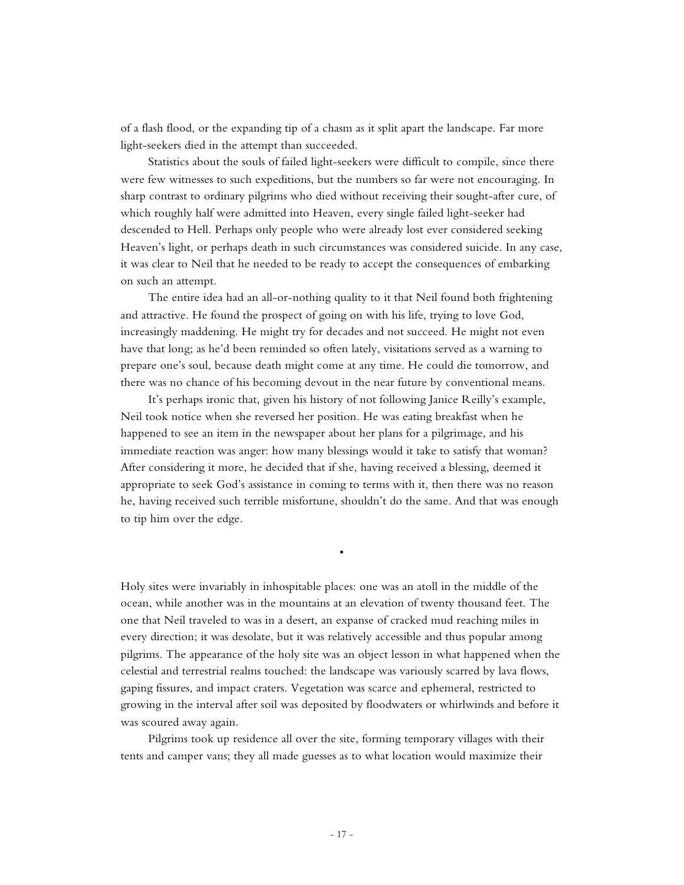of a flash flood, or the expanding tip of a chasm as it split apart the landscape. Far more light-seekers died in the attempt than succeeded.

Statistics about the souls of failed light-seekers were difficult to compile, since there were few witnesses to such expeditions, but the numbers so far were not encouraging. In sharp contrast to ordinary pilgrims who died without receiving their sought-after cure, of which roughly half were admitted into Heaven, every single failed light-seeker had descended to Hell. Perhaps only people who were already lost ever considered seeking Heaven's light, or perhaps death in such circumstances was considered suicide. In any case, it was clear to Neil that he needed to be ready to accept the consequences of embarking on such an attempt.

The entire idea had an all-or-nothing quality to it that Neil found both frightening and attractive. He found the prospect of going on with his life, trying to love God, increasingly maddening. He might try for decades and not succeed. He might not even have that long; as he'd been reminded so often lately, visitations served as a warning to prepare one's soul, because death might come at any time. He could die tomorrow, and there was no chance of his becoming devout in the near future by conventional means.

It's perhaps ironic that, given his history of not following Janice Reilly's example, Neil took notice when she reversed her position. He was eating breakfast when he happened to see an item in the newspaper about her plans for a pilgrimage, and his immediate reaction was anger: how many blessings would it take to satisfy that woman? After considering it more, he decided that if she, having received a blessing, deemed it appropriate to seek God's assistance in coming to terms with it, then there was no reason he, having received such terrible misfortune, shouldn't do the same. And that was enough to tip him over the edge.

•

Holy sites were invariably in inhospitable places: one was an atoll in the middle of the ocean, while another was in the mountains at an elevation of twenty thousand feet. The one that Neil traveled to was in a desert, an expanse of cracked mud reaching miles in every direction; it was desolate, but it was relatively accessible and thus popular among pilgrims. The appearance of the holy site was an object lesson in what happened when the celestial and terrestrial realms touched: the landscape was variously scarred by lava flows, gaping fissures, and impact craters. Vegetation was scarce and ephemeral, restricted to growing in the interval after soil was deposited by floodwaters or whirlwinds and before it was scoured away again.

Pilgrims took up residence all over the site, forming temporary villages with their tents and camper vans; they all made guesses as to what location would maximize their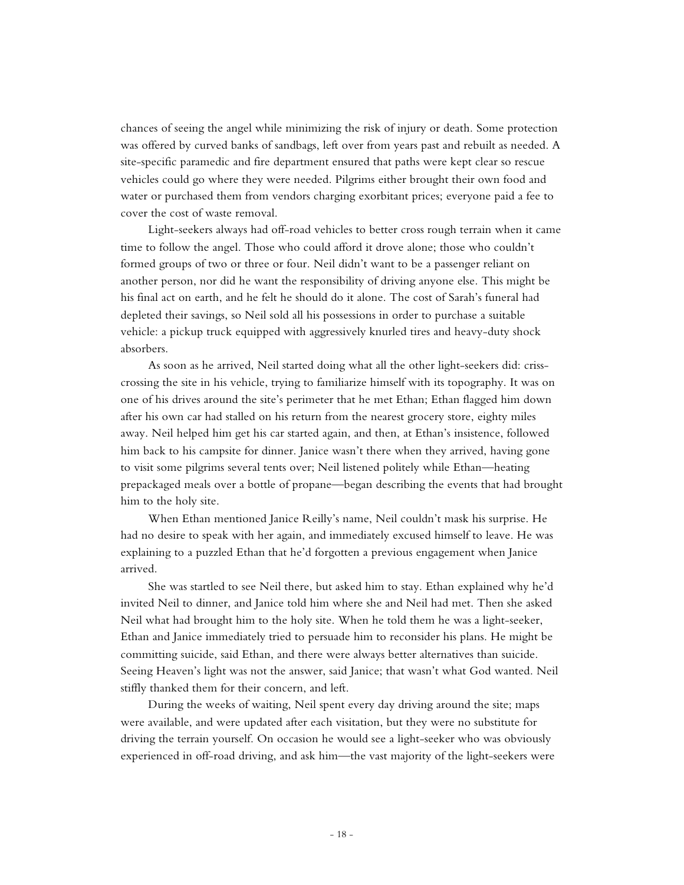chances of seeing the angel while minimizing the risk of injury or death. Some protection was offered by curved banks of sandbags, left over from years past and rebuilt as needed. A site-specific paramedic and fire department ensured that paths were kept clear so rescue vehicles could go where they were needed. Pilgrims either brought their own food and water or purchased them from vendors charging exorbitant prices; everyone paid a fee to cover the cost of waste removal.

Light-seekers always had off-road vehicles to better cross rough terrain when it came time to follow the angel. Those who could afford it drove alone; those who couldn't formed groups of two or three or four. Neil didn't want to be a passenger reliant on another person, nor did he want the responsibility of driving anyone else. This might be his final act on earth, and he felt he should do it alone. The cost of Sarah's funeral had depleted their savings, so Neil sold all his possessions in order to purchase a suitable vehicle: a pickup truck equipped with aggressively knurled tires and heavy-duty shock absorbers.

As soon as he arrived, Neil started doing what all the other light-seekers did: crisscrossing the site in his vehicle, trying to familiarize himself with its topography. It was on one of his drives around the site's perimeter that he met Ethan; Ethan flagged him down after his own car had stalled on his return from the nearest grocery store, eighty miles away. Neil helped him get his car started again, and then, at Ethan's insistence, followed him back to his campsite for dinner. Janice wasn't there when they arrived, having gone to visit some pilgrims several tents over; Neil listened politely while Ethan—heating prepackaged meals over a bottle of propane—began describing the events that had brought him to the holy site.

When Ethan mentioned Janice Reilly's name, Neil couldn't mask his surprise. He had no desire to speak with her again, and immediately excused himself to leave. He was explaining to a puzzled Ethan that he'd forgotten a previous engagement when Janice arrived.

She was startled to see Neil there, but asked him to stay. Ethan explained why he'd invited Neil to dinner, and Janice told him where she and Neil had met. Then she asked Neil what had brought him to the holy site. When he told them he was a light-seeker, Ethan and Janice immediately tried to persuade him to reconsider his plans. He might be committing suicide, said Ethan, and there were always better alternatives than suicide. Seeing Heaven's light was not the answer, said Janice; that wasn't what God wanted. Neil stiffly thanked them for their concern, and left.

During the weeks of waiting, Neil spent every day driving around the site; maps were available, and were updated after each visitation, but they were no substitute for driving the terrain yourself. On occasion he would see a light-seeker who was obviously experienced in off-road driving, and ask him—the vast majority of the light-seekers were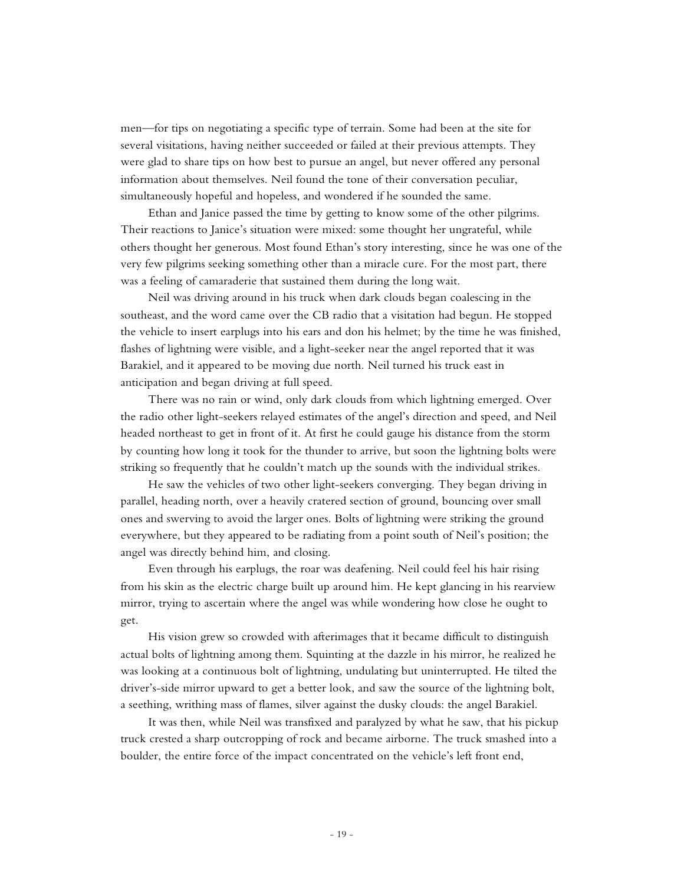men—for tips on negotiating a specific type of terrain. Some had been at the site for several visitations, having neither succeeded or failed at their previous attempts. They were glad to share tips on how best to pursue an angel, but never offered any personal information about themselves. Neil found the tone of their conversation peculiar, simultaneously hopeful and hopeless, and wondered if he sounded the same.

Ethan and Janice passed the time by getting to know some of the other pilgrims. Their reactions to Janice's situation were mixed: some thought her ungrateful, while others thought her generous. Most found Ethan's story interesting, since he was one of the very few pilgrims seeking something other than a miracle cure. For the most part, there was a feeling of camaraderie that sustained them during the long wait.

Neil was driving around in his truck when dark clouds began coalescing in the southeast, and the word came over the CB radio that a visitation had begun. He stopped the vehicle to insert earplugs into his ears and don his helmet; by the time he was finished, flashes of lightning were visible, and a light-seeker near the angel reported that it was Barakiel, and it appeared to be moving due north. Neil turned his truck east in anticipation and began driving at full speed.

There was no rain or wind, only dark clouds from which lightning emerged. Over the radio other light-seekers relayed estimates of the angel's direction and speed, and Neil headed northeast to get in front of it. At first he could gauge his distance from the storm by counting how long it took for the thunder to arrive, but soon the lightning bolts were striking so frequently that he couldn't match up the sounds with the individual strikes.

He saw the vehicles of two other light-seekers converging. They began driving in parallel, heading north, over a heavily cratered section of ground, bouncing over small ones and swerving to avoid the larger ones. Bolts of lightning were striking the ground everywhere, but they appeared to be radiating from a point south of Neil's position; the angel was directly behind him, and closing.

Even through his earplugs, the roar was deafening. Neil could feel his hair rising from his skin as the electric charge built up around him. He kept glancing in his rearview mirror, trying to ascertain where the angel was while wondering how close he ought to get.

His vision grew so crowded with afterimages that it became difficult to distinguish actual bolts of lightning among them. Squinting at the dazzle in his mirror, he realized he was looking at a continuous bolt of lightning, undulating but uninterrupted. He tilted the driver's-side mirror upward to get a better look, and saw the source of the lightning bolt, a seething, writhing mass of flames, silver against the dusky clouds: the angel Barakiel.

It was then, while Neil was transfixed and paralyzed by what he saw, that his pickup truck crested a sharp outcropping of rock and became airborne. The truck smashed into a boulder, the entire force of the impact concentrated on the vehicle's left front end,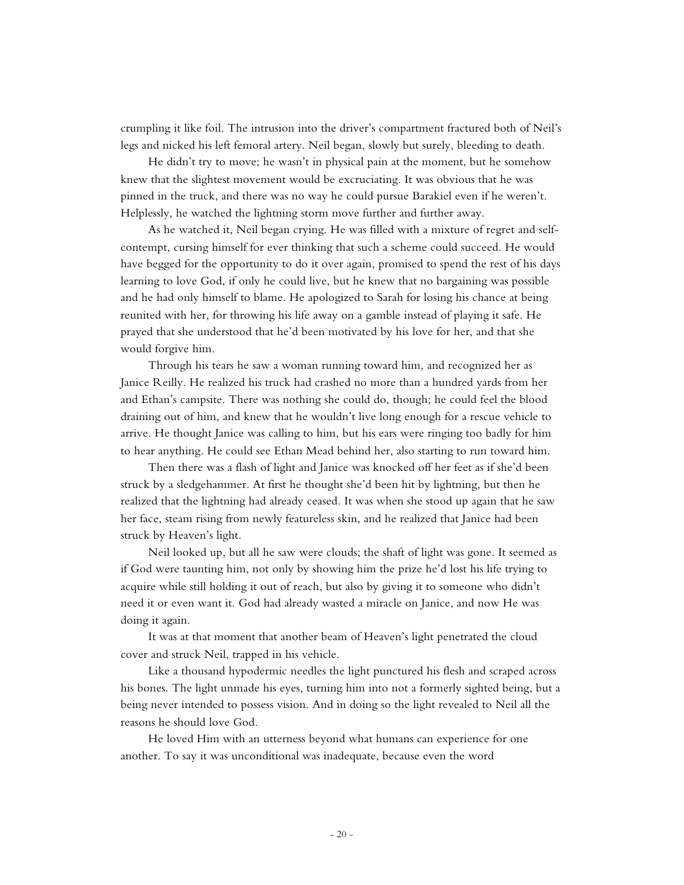crumpling it like foil. The intrusion into the driver's compartment fractured both of Neil's legs and nicked his left femoral artery. Neil began, slowly but surely, bleeding to death.

He didn't try to move; he wasn't in physical pain at the moment, but he somehow knew that the slightest movement would be excruciating. It was obvious that he was pinned in the truck, and there was no way he could pursue Barakiel even if he weren't. Helplessly, he watched the lightning storm move further and further away.

As he watched it, Neil began crying. He was filled with a mixture of regret and selfcontempt, cursing himself for ever thinking that such a scheme could succeed. He would have begged for the opportunity to do it over again, promised to spend the rest of his days learning to love God, if only he could live, but he knew that no bargaining was possible and he had only himself to blame. He apologized to Sarah for losing his chance at being reunited with her, for throwing his life away on a gamble instead of playing it safe. He prayed that she understood that he'd been motivated by his love for her, and that she would forgive him.

Through his tears he saw a woman running toward him, and recognized her as Janice Reilly. He realized his truck had crashed no more than a hundred yards from her and Ethan's campsite. There was nothing she could do, though; he could feel the blood draining out of him, and knew that he wouldn't live long enough for a rescue vehicle to arrive. He thought Janice was calling to him, but his ears were ringing too badly for him to hear anything. He could see Ethan Mead behind her, also starting to run toward him.

Then there was a flash of light and Janice was knocked off her feet as if she'd been struck by a sledgehammer. At first he thought she'd been hit by lightning, but then he realized that the lightning had already ceased. It was when she stood up again that he saw her face, steam rising from newly featureless skin, and he realized that Janice had been struck by Heaven's light.

Neil looked up, but all he saw were clouds; the shaft of light was gone. It seemed as if God were taunting him, not only by showing him the prize he'd lost his life trying to acquire while still holding it out of reach, but also by giving it to someone who didn't need it or even want it. God had already wasted a miracle on Janice, and now He was doing it again.

It was at that moment that another beam of Heaven's light penetrated the cloud cover and struck Neil, trapped in his vehicle.

Like a thousand hypodermic needles the light punctured his flesh and scraped across his bones. The light unmade his eyes, turning him into not a formerly sighted being, but a being never intended to possess vision. And in doing so the light revealed to Neil all the reasons he should love God.

He loved Him with an utterness beyond what humans can experience for one another. To say it was unconditional was inadequate, because even the word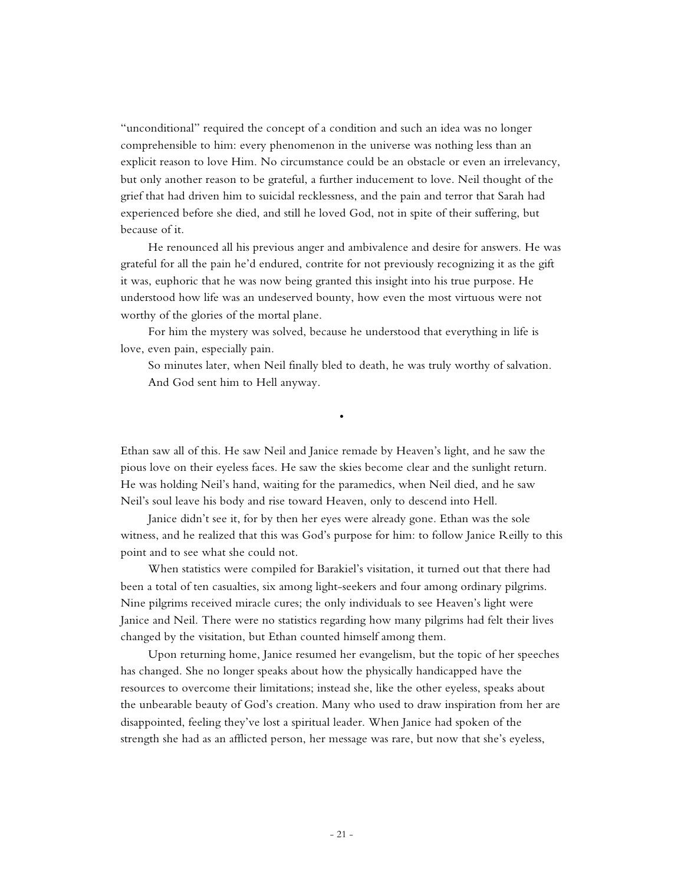"unconditional" required the concept of a condition and such an idea was no longer comprehensible to him: every phenomenon in the universe was nothing less than an explicit reason to love Him. No circumstance could be an obstacle or even an irrelevancy, but only another reason to be grateful, a further inducement to love. Neil thought of the grief that had driven him to suicidal recklessness, and the pain and terror that Sarah had experienced before she died, and still he loved God, not in spite of their suffering, but because of it.

He renounced all his previous anger and ambivalence and desire for answers. He was grateful for all the pain he'd endured, contrite for not previously recognizing it as the gift it was, euphoric that he was now being granted this insight into his true purpose. He understood how life was an undeserved bounty, how even the most virtuous were not worthy of the glories of the mortal plane.

For him the mystery was solved, because he understood that everything in life is love, even pain, especially pain.

So minutes later, when Neil finally bled to death, he was truly worthy of salvation. And God sent him to Hell anyway.

•

Ethan saw all of this. He saw Neil and Janice remade by Heaven's light, and he saw the pious love on their eyeless faces. He saw the skies become clear and the sunlight return. He was holding Neil's hand, waiting for the paramedics, when Neil died, and he saw Neil's soul leave his body and rise toward Heaven, only to descend into Hell.

Janice didn't see it, for by then her eyes were already gone. Ethan was the sole witness, and he realized that this was God's purpose for him: to follow Janice Reilly to this point and to see what she could not.

When statistics were compiled for Barakiel's visitation, it turned out that there had been a total of ten casualties, six among light-seekers and four among ordinary pilgrims. Nine pilgrims received miracle cures; the only individuals to see Heaven's light were Janice and Neil. There were no statistics regarding how many pilgrims had felt their lives changed by the visitation, but Ethan counted himself among them.

Upon returning home, Janice resumed her evangelism, but the topic of her speeches has changed. She no longer speaks about how the physically handicapped have the resources to overcome their limitations; instead she, like the other eyeless, speaks about the unbearable beauty of God's creation. Many who used to draw inspiration from her are disappointed, feeling they've lost a spiritual leader. When Janice had spoken of the strength she had as an afflicted person, her message was rare, but now that she's eyeless,